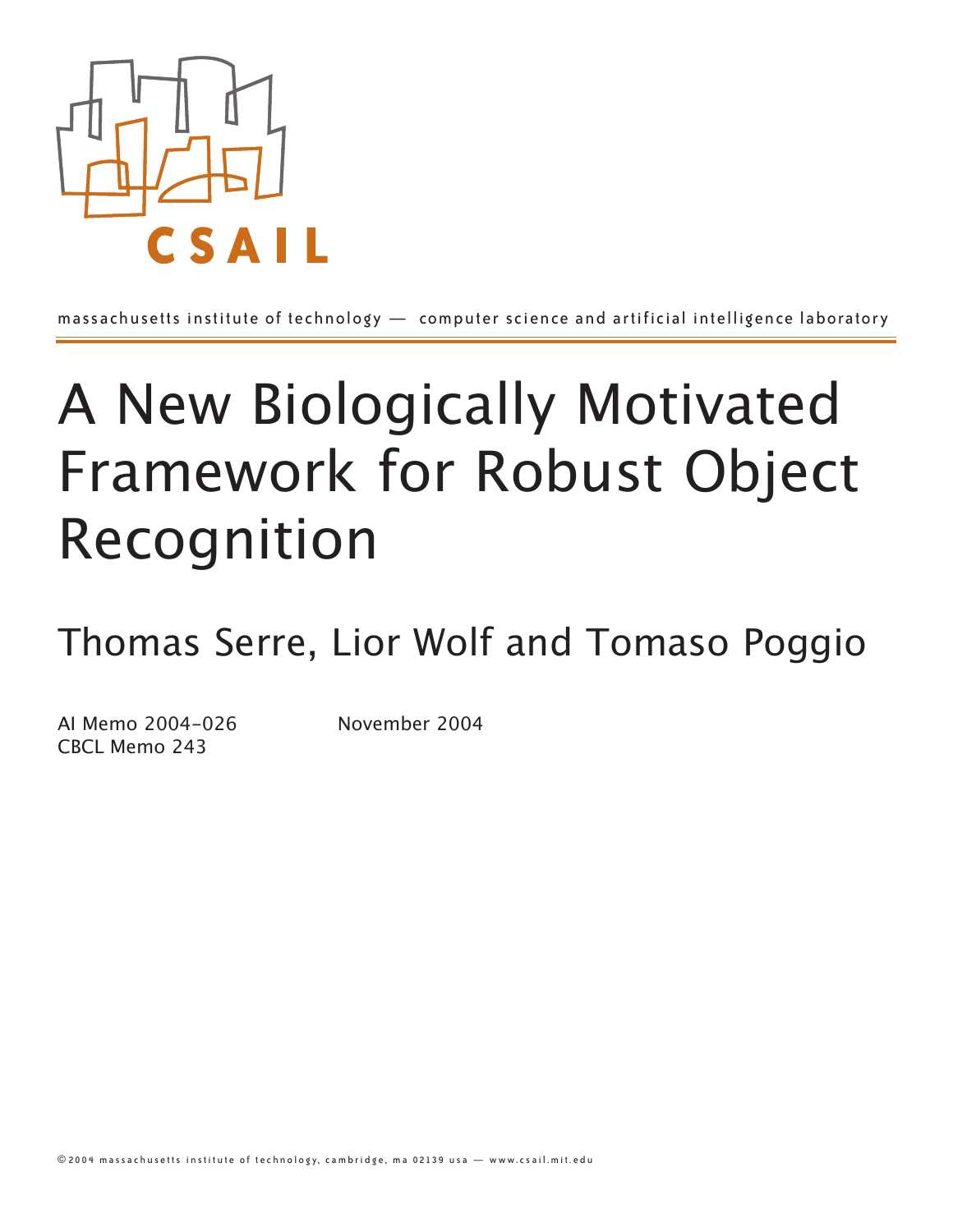

massachusetts institute of technology — computer science and artificial intelligence laboratory

# A New Biologically Motivated Framework for Robust Object Recognition

Thomas Serre, Lior Wolf and Tomaso Poggio

AI Memo 2004-026 November 2004 CBCL Memo 243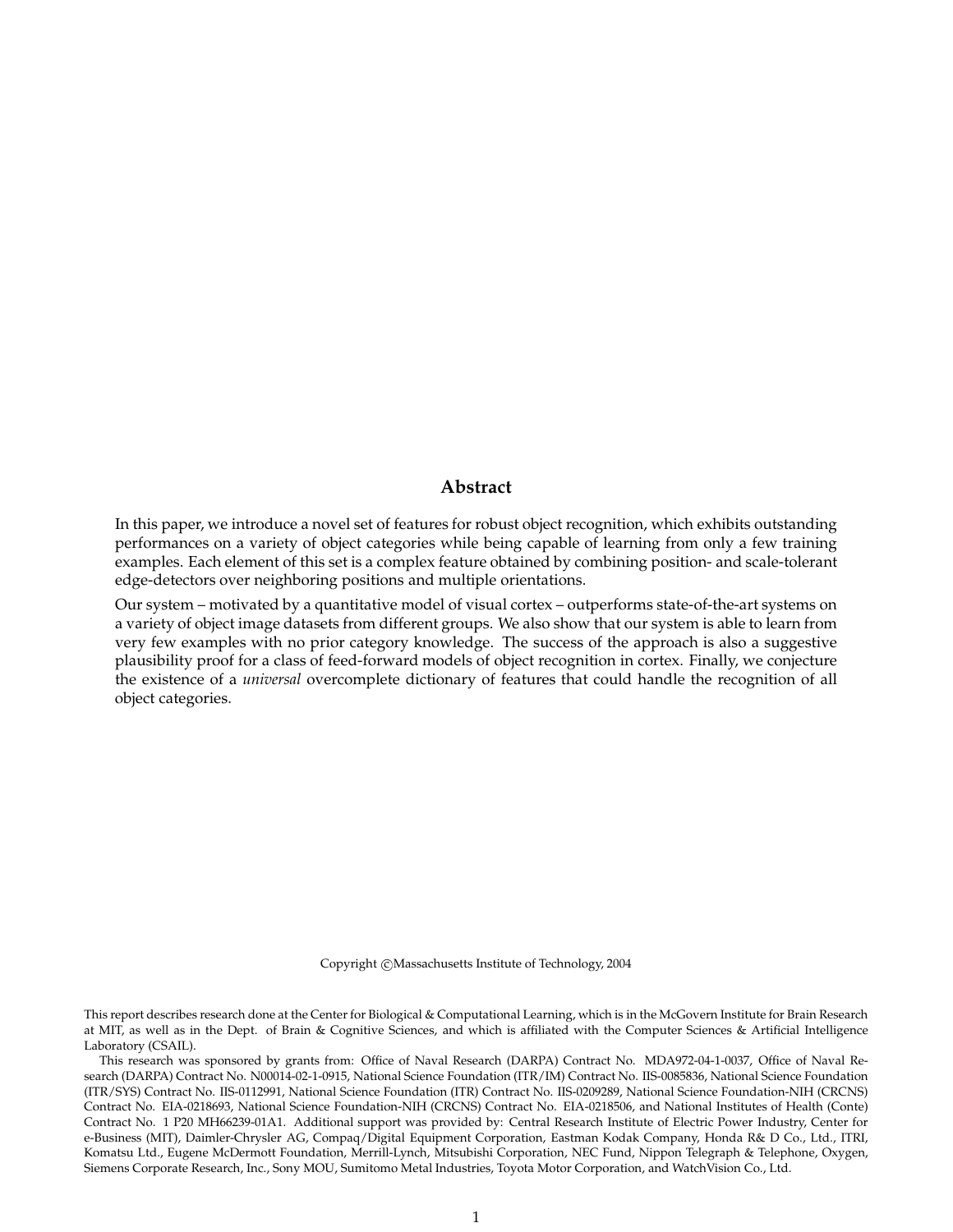## **Abstract**

In this paper, we introduce a novel set of features for robust object recognition, which exhibits outstanding performances on a variety of object categories while being capable of learning from only a few training examples. Each element of this set is a complex feature obtained by combining position- and scale-tolerant edge-detectors over neighboring positions and multiple orientations.

Our system – motivated by a quantitative model of visual cortex – outperforms state-of-the-art systems on a variety of object image datasets from different groups. We also show that our system is able to learn from very few examples with no prior category knowledge. The success of the approach is also a suggestive plausibility proof for a class of feed-forward models of object recognition in cortex. Finally, we conjecture the existence of a *universal* overcomplete dictionary of features that could handle the recognition of all object categories.

Copyright ©Massachusetts Institute of Technology, 2004

This report describes research done at the Center for Biological & Computational Learning, which is in the McGovern Institute for Brain Research at MIT, as well as in the Dept. of Brain & Cognitive Sciences, and which is affiliated with the Computer Sciences & Artificial Intelligence Laboratory (CSAIL).

This research was sponsored by grants from: Office of Naval Research (DARPA) Contract No. MDA972-04-1-0037, Office of Naval Research (DARPA) Contract No. N00014-02-1-0915, National Science Foundation (ITR/IM) Contract No. IIS-0085836, National Science Foundation (ITR/SYS) Contract No. IIS-0112991, National Science Foundation (ITR) Contract No. IIS-0209289, National Science Foundation-NIH (CRCNS) Contract No. EIA-0218693, National Science Foundation-NIH (CRCNS) Contract No. EIA-0218506, and National Institutes of Health (Conte) Contract No. 1 P20 MH66239-01A1. Additional support was provided by: Central Research Institute of Electric Power Industry, Center for e-Business (MIT), Daimler-Chrysler AG, Compaq/Digital Equipment Corporation, Eastman Kodak Company, Honda R& D Co., Ltd., ITRI, Komatsu Ltd., Eugene McDermott Foundation, Merrill-Lynch, Mitsubishi Corporation, NEC Fund, Nippon Telegraph & Telephone, Oxygen, Siemens Corporate Research, Inc., Sony MOU, Sumitomo Metal Industries, Toyota Motor Corporation, and WatchVision Co., Ltd.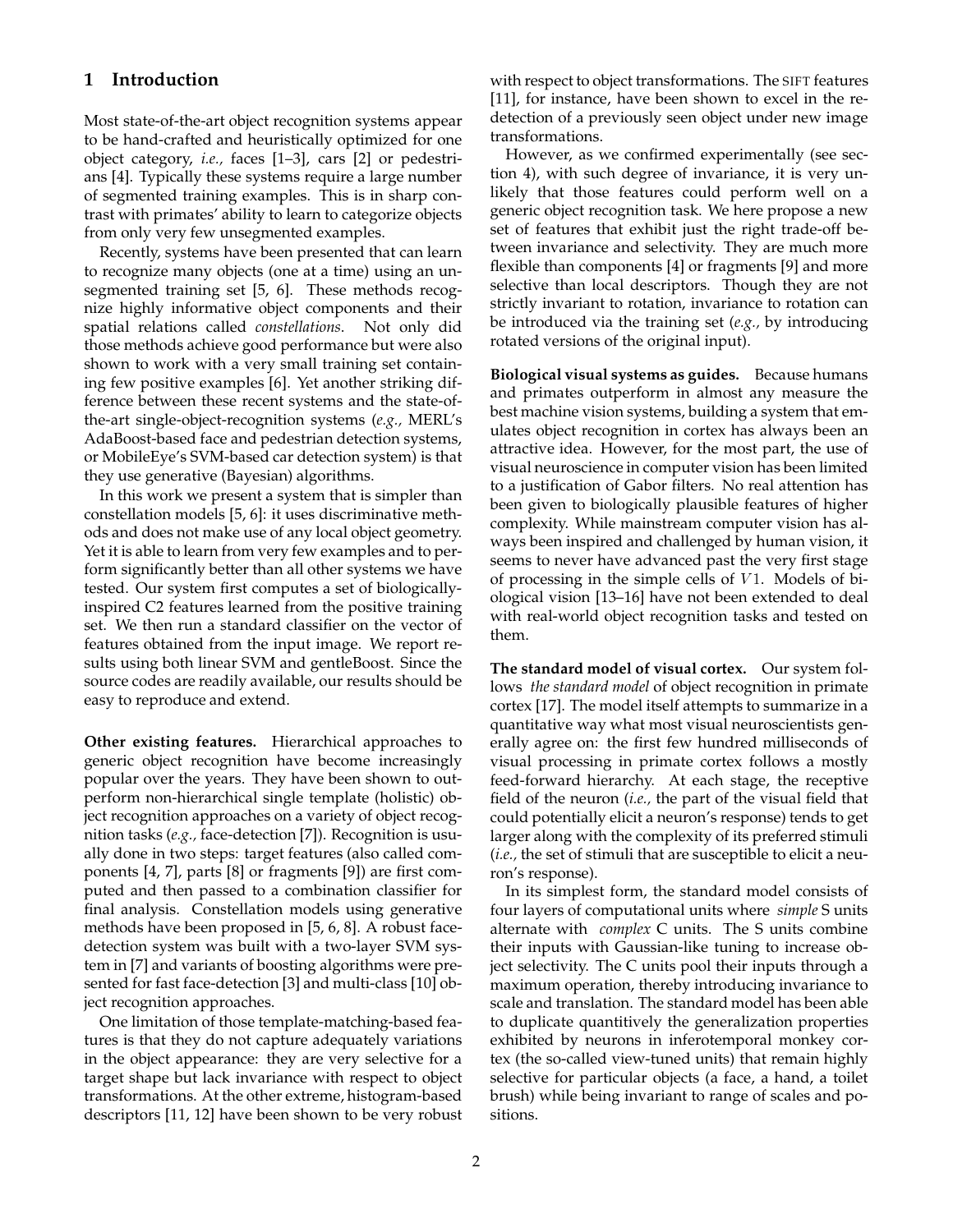### **1 Introduction**

Most state-of-the-art object recognition systems appear to be hand-crafted and heuristically optimized for one object category, *i.e.,* faces [1–3], cars [2] or pedestrians [4]. Typically these systems require a large number of segmented training examples. This is in sharp contrast with primates' ability to learn to categorize objects from only very few unsegmented examples.

Recently, systems have been presented that can learn to recognize many objects (one at a time) using an unsegmented training set [5, 6]. These methods recognize highly informative object components and their spatial relations called *constellations*. Not only did those methods achieve good performance but were also shown to work with a very small training set containing few positive examples [6]. Yet another striking difference between these recent systems and the state-ofthe-art single-object-recognition systems (*e.g.,* MERL's AdaBoost-based face and pedestrian detection systems, or MobileEye's SVM-based car detection system) is that they use generative (Bayesian) algorithms.

In this work we present a system that is simpler than constellation models [5, 6]: it uses discriminative methods and does not make use of any local object geometry. Yet it is able to learn from very few examples and to perform significantly better than all other systems we have tested. Our system first computes a set of biologicallyinspired C2 features learned from the positive training set. We then run a standard classifier on the vector of features obtained from the input image. We report results using both linear SVM and gentleBoost. Since the source codes are readily available, our results should be easy to reproduce and extend.

**Other existing features.** Hierarchical approaches to generic object recognition have become increasingly popular over the years. They have been shown to outperform non-hierarchical single template (holistic) object recognition approaches on a variety of object recognition tasks (*e.g.,* face-detection [7]). Recognition is usually done in two steps: target features (also called components [4, 7], parts [8] or fragments [9]) are first computed and then passed to a combination classifier for final analysis. Constellation models using generative methods have been proposed in [5, 6, 8]. A robust facedetection system was built with a two-layer SVM system in [7] and variants of boosting algorithms were presented for fast face-detection [3] and multi-class [10] object recognition approaches.

One limitation of those template-matching-based features is that they do not capture adequately variations in the object appearance: they are very selective for a target shape but lack invariance with respect to object transformations. At the other extreme, histogram-based descriptors [11, 12] have been shown to be very robust with respect to object transformations. The SIFT features [11], for instance, have been shown to excel in the redetection of a previously seen object under new image transformations.

However, as we confirmed experimentally (see section 4), with such degree of invariance, it is very unlikely that those features could perform well on a generic object recognition task. We here propose a new set of features that exhibit just the right trade-off between invariance and selectivity. They are much more flexible than components [4] or fragments [9] and more selective than local descriptors. Though they are not strictly invariant to rotation, invariance to rotation can be introduced via the training set (*e.g.,* by introducing rotated versions of the original input).

**Biological visual systems as guides.** Because humans and primates outperform in almost any measure the best machine vision systems, building a system that emulates object recognition in cortex has always been an attractive idea. However, for the most part, the use of visual neuroscience in computer vision has been limited to a justification of Gabor filters. No real attention has been given to biologically plausible features of higher complexity. While mainstream computer vision has always been inspired and challenged by human vision, it seems to never have advanced past the very first stage of processing in the simple cells of  $V1$ . Models of biological vision [13–16] have not been extended to deal with real-world object recognition tasks and tested on them.

**The standard model of visual cortex.** Our system follows *the standard model* of object recognition in primate cortex [17]. The model itself attempts to summarize in a quantitative way what most visual neuroscientists generally agree on: the first few hundred milliseconds of visual processing in primate cortex follows a mostly feed-forward hierarchy. At each stage, the receptive field of the neuron (*i.e.,* the part of the visual field that could potentially elicit a neuron's response) tends to get larger along with the complexity of its preferred stimuli (*i.e.,* the set of stimuli that are susceptible to elicit a neuron's response).

In its simplest form, the standard model consists of four layers of computational units where *simple* S units alternate with *complex* C units. The S units combine their inputs with Gaussian-like tuning to increase object selectivity. The C units pool their inputs through a maximum operation, thereby introducing invariance to scale and translation. The standard model has been able to duplicate quantitively the generalization properties exhibited by neurons in inferotemporal monkey cortex (the so-called view-tuned units) that remain highly selective for particular objects (a face, a hand, a toilet brush) while being invariant to range of scales and positions.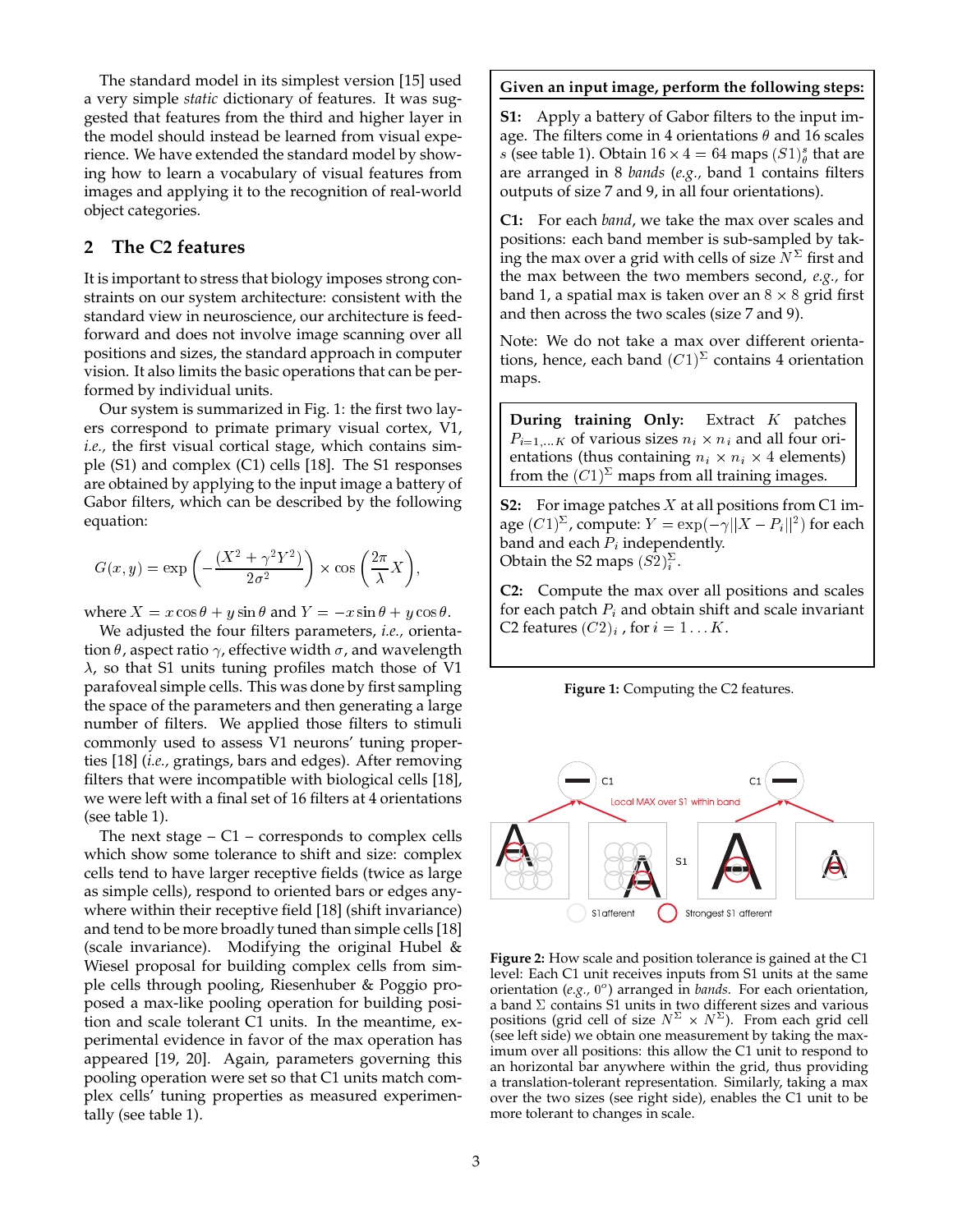The standard model in its simplest version [15] used a very simple *static* dictionary of features. It was suggested that features from the third and higher layer in the model should instead be learned from visual experience. We have extended the standard model by showing how to learn a vocabulary of visual features from images and applying it to the recognition of real-world object categories.

# **2 The C2 features**

It is important to stress that biology imposes strong constraints on our system architecture: consistent with the standard view in neuroscience, our architecture is feedforward and does not involve image scanning over all positions and sizes, the standard approach in computer vision. It also limits the basic operations that can be performed by individual units.

Our system is summarized in Fig. 1: the first two layers correspond to primate primary visual cortex, V1, *i.e.,* the first visual cortical stage, which contains simple (S1) and complex (C1) cells [18]. The S1 responses are obtained by applying to the input image a battery of Gabor filters, which can be described by the following equation:

$$
G(x,y) = \exp\left(-\frac{(X^2 + \gamma^2 Y^2)}{2\sigma^2}\right) \times \cos\left(\frac{2\pi}{\lambda}X\right),\,
$$

where  $X = x \cos \theta + y \sin \theta$  and  $Y = -x \sin \theta + y \cos \theta$ .

We adjusted the four filters parameters, *i.e.,* orientation  $\theta$ , aspect ratio  $\gamma$ , effective width  $\sigma$ , and wavelength  $\lambda$ , so that S1 units tuning profiles match those of V1 parafoveal simple cells. This was done by first sampling the space of the parameters and then generating a large number of filters. We applied those filters to stimuli commonly used to assess V1 neurons' tuning properties [18] (*i.e.,* gratings, bars and edges). After removing filters that were incompatible with biological cells [18], we were left with a final set of 16 filters at 4 orientations (see table 1).

The next stage  $- C1 -$  corresponds to complex cells which show some tolerance to shift and size: complex cells tend to have larger receptive fields (twice as large as simple cells), respond to oriented bars or edges anywhere within their receptive field [18] (shift invariance) and tend to be more broadly tuned than simple cells [18] (scale invariance). Modifying the original Hubel  $\&$ Wiesel proposal for building complex cells from simple cells through pooling, Riesenhuber & Poggio proposed a max-like pooling operation for building position and scale tolerant C1 units. In the meantime, experimental evidence in favor of the max operation has appeared [19, 20]. Again, parameters governing this pooling operation were set so that C1 units match complex cells' tuning properties as measured experimentally (see table 1).

#### **Given an input image, perform the following steps:**

**S1:** Apply a battery of Gabor filters to the input image. The filters come in 4 orientations  $\theta$  and 16 scales s (see table 1). Obtain  $16 \times 4 = 64$  maps  $(S1)_{\theta}^{s}$  that are are arranged in 8 *bands* (*e.g.,* band 1 contains filters outputs of size 7 and 9, in all four orientations).

**C1:** For each *band*, we take the max over scales and positions: each band member is sub-sampled by taking the max over a grid with cells of size  $N^{\Sigma}$  first and the max between the two members second, *e.g.,* for band 1, a spatial max is taken over an  $8 \times 8$  grid first and then across the two scales (size 7 and 9).

Note: We do not take a max over different orientations, hence, each band  $(C1)^{\Sigma}$  contains 4 orientation maps.

**During training Only:** Extract <sup>K</sup> patches  $P_{i=1,...K}$  of various sizes  $n_i \times n_i$  and all four orientations (thus containing  $n_i \times n_i \times 4$  elements) from the  $(C1)^{\Sigma}$  maps from all training images.

**S2:** For image patches <sup>X</sup> at all positions from C1 image  $(C1)^{\Sigma}$ , compute:  $Y = \exp(-\gamma ||X - P_i||^2)$  for each band and each  $P_i$  independently. Obtain the S2 maps  $(S2)^2_i$ .

**C2:** Compute the max over all positions and scales for each patch  $P_i$  and obtain shift and scale invariant C2 features  $(C2)_i$ , for  $i = 1 \dots K$ .

**Figure 1:** Computing the C2 features.



**Figure 2:** How scale and position tolerance is gained at the C1 level: Each C1 unit receives inputs from S1 units at the same orientation (e.g., 0<sup>o</sup>) arranged in *bands*. For each orientation, a band  $\Sigma$  contains S1 units in two different sizes and various positions (grid cell of size  $N^2 \times N^2$ ). From each grid cell (see left side) we obtain one measurement by taking the maximum over all positions: this allow the C1 unit to respond to an horizontal bar anywhere within the grid, thus providing a translation-tolerant representation. Similarly, taking a max over the two sizes (see right side), enables the C1 unit to be more tolerant to changes in scale.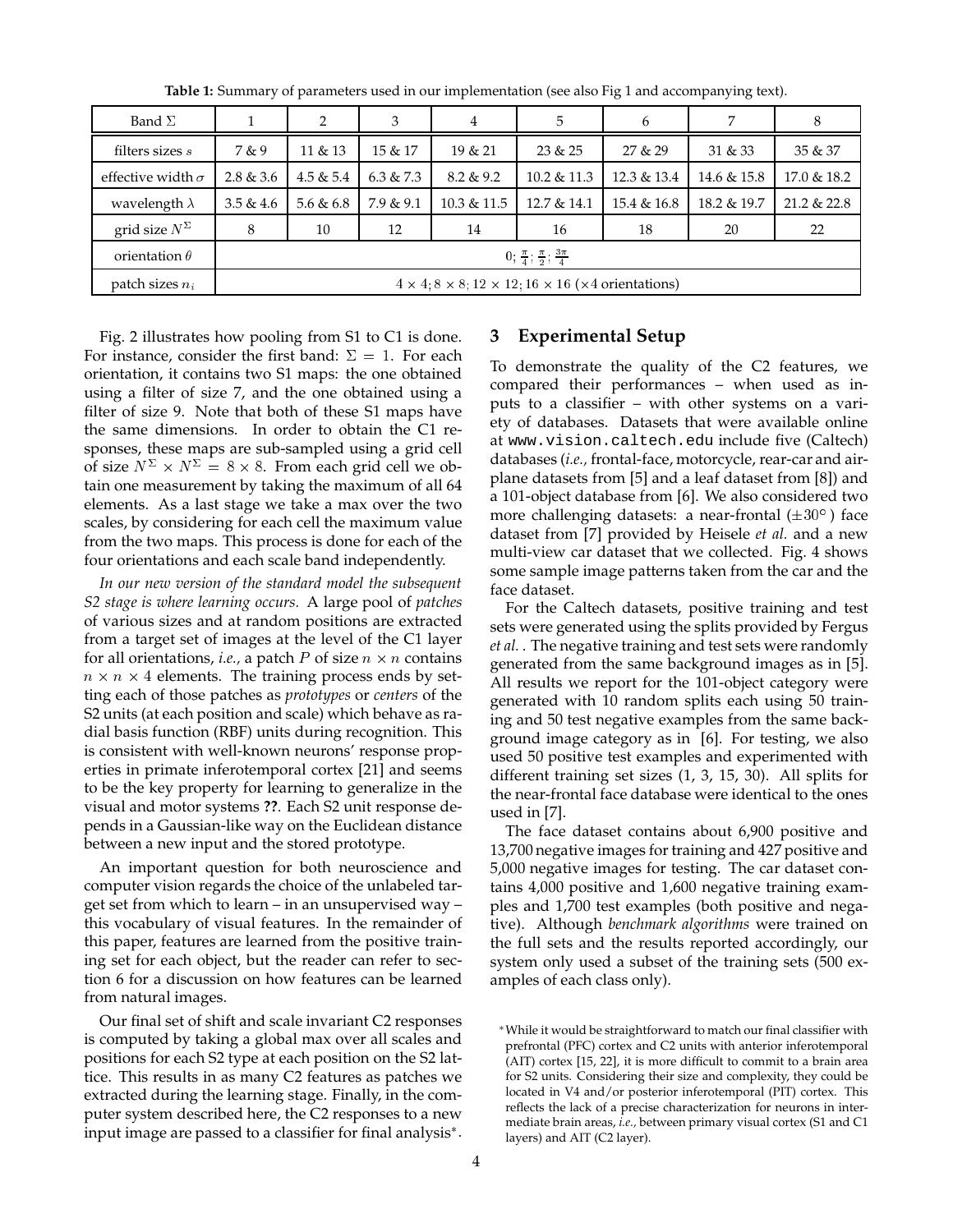| Band $\Sigma$            |                                                                                          | 2          | 3         | 4           | 5              | 6           | 7           | 8              |
|--------------------------|------------------------------------------------------------------------------------------|------------|-----------|-------------|----------------|-------------|-------------|----------------|
| filters sizes s          | 7 & 9                                                                                    | $11 \& 13$ | 15 & 17   | 19 & 21     | 23 & 25        | 27 & 29     | 31 & 33     | 35 & 37        |
| effective width $\sigma$ | 2.8 & 3.6                                                                                | 4.5 & 5.4  | 6.3 & 7.3 | 8.2 & 9.2   | $10.2 \& 11.3$ | 12.3 & 13.4 | 14.6 & 15.8 | 17.0 & 18.2    |
| wavelength $\lambda$     | 3.5 & 4.6                                                                                | 5.6 & 6.8  | 7.9 & 9.1 | 10.3 & 11.5 | 12.7 & 14.1    | 15.4 & 16.8 | 18.2 & 19.7 | $21.2 \& 22.8$ |
| grid size $N^{\Sigma}$   | 8                                                                                        | 10         | 12        | 14          | 16             | 18          | 20          | 22             |
| orientation $\theta$     | 0; $\frac{\pi}{4}$ ; $\frac{\pi}{2}$ ; $\frac{3\pi}{4}$                                  |            |           |             |                |             |             |                |
| patch sizes $n_i$        | $4 \times 4$ , $8 \times 8$ , $12 \times 12$ , $16 \times 16$ ( $\times 4$ orientations) |            |           |             |                |             |             |                |

**Table 1:** Summary of parameters used in our implementation (see also Fig 1 and accompanying text).

Fig. 2 illustrates how pooling from S1 to C1 is done. For instance, consider the first band:  $\Sigma = 1$ . For each orientation, it contains two S1 maps: the one obtained using a filter of size 7, and the one obtained using a filter of size 9. Note that both of these S1 maps have the same dimensions. In order to obtain the C1 responses, these maps are sub-sampled using a grid cell of size  $N^{\Sigma} \times N^{\Sigma} = 8 \times 8$ . From each grid cell we obtain one measurement by taking the maximum of all 64 elements. As a last stage we take a max over the two scales, by considering for each cell the maximum value from the two maps. This process is done for each of the four orientations and each scale band independently.

*In our new version of the standard model the subsequent S2 stage is where learning occurs.* A large pool of *patches* of various sizes and at random positions are extracted from a target set of images at the level of the C1 layer for all orientations*, i.e.,* a patch  $P$  of size  $n \times n$  contains  $n \times n \times 4$  elements. The training process ends by setting each of those patches as *prototypes* or *centers* of the S2 units (at each position and scale) which behave as radial basis function (RBF) units during recognition. This is consistent with well-known neurons' response properties in primate inferotemporal cortex [21] and seems to be the key property for learning to generalize in the visual and motor systems **??**. Each S2 unit response depends in a Gaussian-like way on the Euclidean distance between a new input and the stored prototype.

An important question for both neuroscience and computer vision regards the choice of the unlabeled target set from which to learn – in an unsupervised way – this vocabulary of visual features. In the remainder of this paper, features are learned from the positive training set for each object, but the reader can refer to section 6 for a discussion on how features can be learned from natural images.

Our final set of shift and scale invariant C2 responses is computed by taking a global max over all scales and positions for each S2 type at each position on the S2 lattice. This results in as many C2 features as patches we extracted during the learning stage. Finally, in the computer system described here, the C2 responses to a new input image are passed to a classifier for final analysis .

### **3 Experimental Setup**

To demonstrate the quality of the C2 features, we compared their performances – when used as inputs to a classifier – with other systems on a variety of databases. Datasets that were available online at www.vision.caltech.edu include five (Caltech) databases (*i.e.,* frontal-face, motorcycle, rear-car and airplane datasets from [5] and a leaf dataset from [8]) and a 101-object database from [6]. We also considered two more challenging datasets: a near-frontal  $(\pm 30^\circ$  ) face dataset from [7] provided by Heisele *et al.* and a new multi-view car dataset that we collected. Fig. 4 shows some sample image patterns taken from the car and the face dataset.

For the Caltech datasets, positive training and test sets were generated using the splits provided by Fergus *et al.* . The negative training and test sets were randomly generated from the same background images as in [5]. All results we report for the 101-object category were generated with 10 random splits each using 50 training and 50 test negative examples from the same background image category as in [6]. For testing, we also used 50 positive test examples and experimented with different training set sizes (1, 3, 15, 30). All splits for the near-frontal face database were identical to the ones used in [7].

The face dataset contains about 6,900 positive and 13,700 negative images for training and 427 positive and 5,000 negative images for testing. The car dataset contains 4,000 positive and 1,600 negative training examples and 1,700 test examples (both positive and negative). Although *benchmark algorithms* were trained on the full sets and the results reported accordingly, our system only used a subset of the training sets (500 examples of each class only).

While it would be straightforward to match our final classifier with prefrontal (PFC) cortex and C2 units with anterior inferotemporal (AIT) cortex [15, 22], it is more difficult to commit to a brain area for S2 units. Considering their size and complexity, they could be located in V4 and/or posterior inferotemporal (PIT) cortex. This reflects the lack of a precise characterization for neurons in intermediate brain areas, *i.e.,* between primary visual cortex (S1 and C1 layers) and AIT (C2 layer).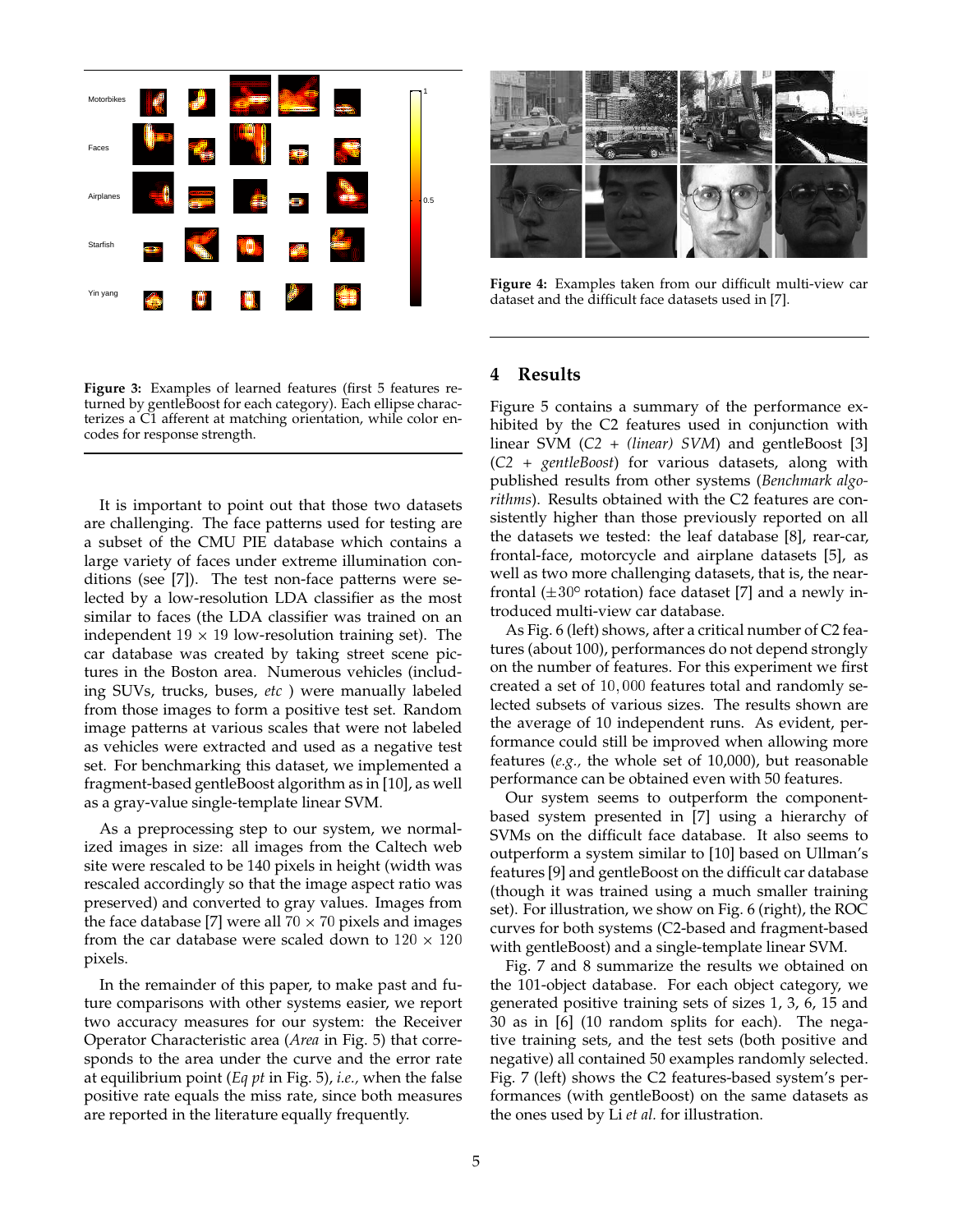

**Figure 3:** Examples of learned features (first 5 features returned by gentleBoost for each category). Each ellipse characterizes a C1 afferent at matching orientation, while color encodes for response strength.

It is important to point out that those two datasets are challenging. The face patterns used for testing are a subset of the CMU PIE database which contains a large variety of faces under extreme illumination conditions (see [7]). The test non-face patterns were selected by a low-resolution LDA classifier as the most similar to faces (the LDA classifier was trained on an independent  $19 \times 19$  low-resolution training set). The car database was created by taking street scene pictures in the Boston area. Numerous vehicles (including SUVs, trucks, buses, *etc* ) were manually labeled from those images to form a positive test set. Random image patterns at various scales that were not labeled as vehicles were extracted and used as a negative test set. For benchmarking this dataset, we implemented a fragment-based gentleBoost algorithm as in [10], as well as a gray-value single-template linear SVM.

As a preprocessing step to our system, we normalized images in size: all images from the Caltech web site were rescaled to be 140 pixels in height (width was rescaled accordingly so that the image aspect ratio was preserved) and converted to gray values. Images from the face database [7] were all 70  $\times$  70 pixels and images from the car database were scaled down to  $120 \times 120$ pixels.

In the remainder of this paper, to make past and future comparisons with other systems easier, we report two accuracy measures for our system: the Receiver Operator Characteristic area (*Area* in Fig. 5) that corresponds to the area under the curve and the error rate at equilibrium point (*Eq pt* in Fig. 5), *i.e.,* when the false positive rate equals the miss rate, since both measures are reported in the literature equally frequently.



**Figure 4:** Examples taken from our difficult multi-view car dataset and the difficult face datasets used in [7].

#### **4 Results**

Figure 5 contains a summary of the performance exhibited by the C2 features used in conjunction with linear SVM (*C2 + (linear) SVM*) and gentleBoost [3] (*C2 + gentleBoost*) for various datasets, along with published results from other systems (*Benchmark algorithms*). Results obtained with the C2 features are consistently higher than those previously reported on all the datasets we tested: the leaf database [8], rear-car, frontal-face, motorcycle and airplane datasets [5], as well as two more challenging datasets, that is, the nearfrontal ( $\pm 30^{\circ}$  rotation) face dataset [7] and a newly introduced multi-view car database.

As Fig. 6 (left) shows, after a critical number of C2 features (about 100), performances do not depend strongly on the number of features. For this experiment we first created a set of 10; <sup>000</sup> features total and randomly selected subsets of various sizes. The results shown are the average of 10 independent runs. As evident, performance could still be improved when allowing more features (*e.g.,* the whole set of 10,000), but reasonable performance can be obtained even with 50 features.

Our system seems to outperform the componentbased system presented in [7] using a hierarchy of SVMs on the difficult face database. It also seems to outperform a system similar to [10] based on Ullman's features [9] and gentleBoost on the difficult car database (though it was trained using a much smaller training set). For illustration, we show on Fig. 6 (right), the ROC curves for both systems (C2-based and fragment-based with gentleBoost) and a single-template linear SVM.

Fig. 7 and 8 summarize the results we obtained on the 101-object database. For each object category, we generated positive training sets of sizes 1, 3, 6, 15 and 30 as in [6] (10 random splits for each). The negative training sets, and the test sets (both positive and negative) all contained 50 examples randomly selected. Fig. 7 (left) shows the C2 features-based system's performances (with gentleBoost) on the same datasets as the ones used by Li *et al.* for illustration.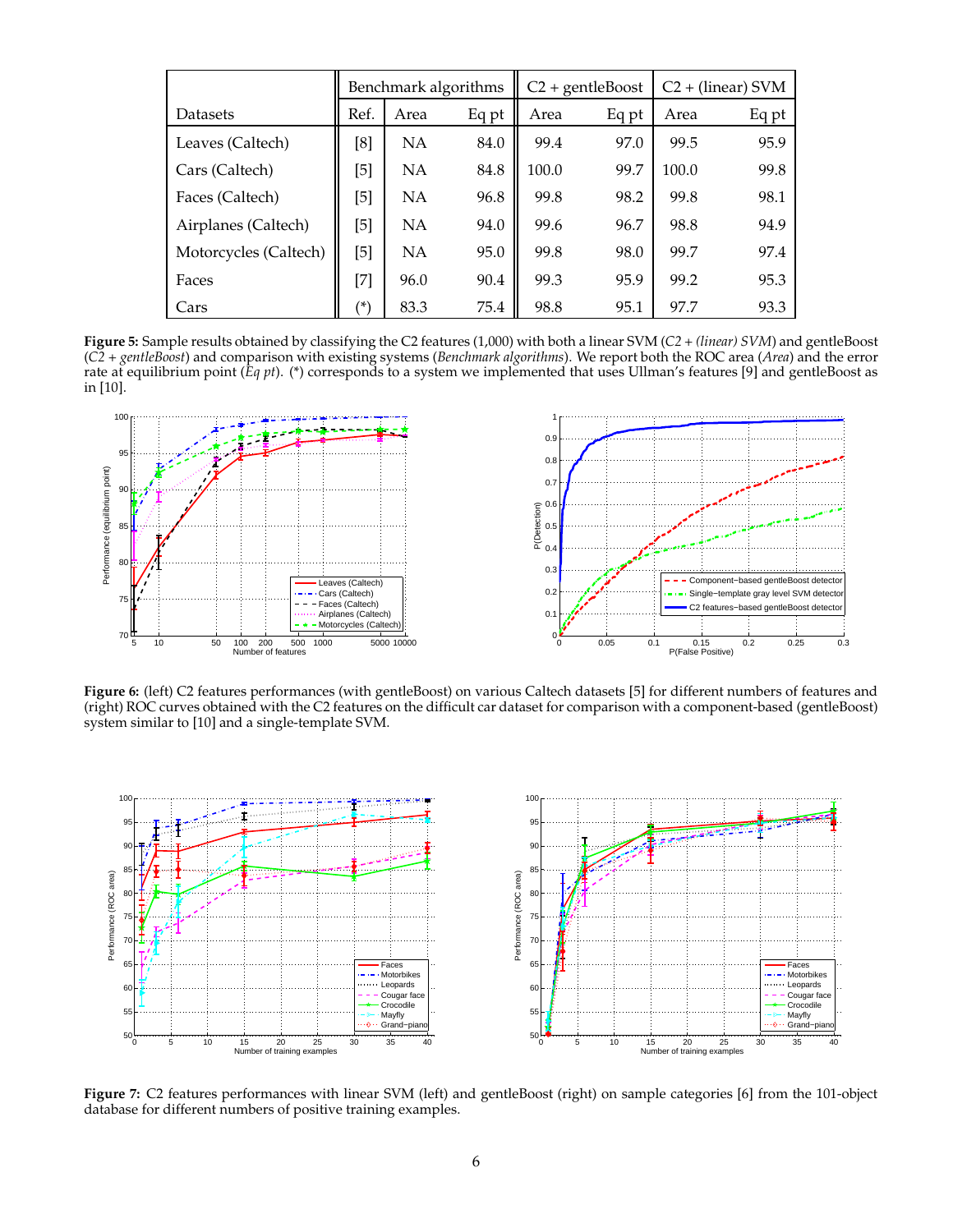|                       | Benchmark algorithms |           | $C2 + \text{gentleBoost}$ |       | $C2 + (linear) SVM$ |       |       |
|-----------------------|----------------------|-----------|---------------------------|-------|---------------------|-------|-------|
| Datasets              | Ref.                 | Area      | Eq pt                     | Area  | Eq pt               | Area  | Eq pt |
| Leaves (Caltech)      | [8]                  | NA        | 84.0                      | 99.4  | 97.0                | 99.5  | 95.9  |
| Cars (Caltech)        | [5]                  | NΑ        | 84.8                      | 100.0 | 99.7                | 100.0 | 99.8  |
| Faces (Caltech)       | $[5]$                | <b>NA</b> | 96.8                      | 99.8  | 98.2                | 99.8  | 98.1  |
| Airplanes (Caltech)   | $[5]$                | NA        | 94.0                      | 99.6  | 96.7                | 98.8  | 94.9  |
| Motorcycles (Caltech) | $[5]$                | <b>NA</b> | 95.0                      | 99.8  | 98.0                | 99.7  | 97.4  |
| Faces                 | $[7]$                | 96.0      | 90.4                      | 99.3  | 95.9                | 99.2  | 95.3  |
| Cars                  | (*)                  | 83.3      | 75.4                      | 98.8  | 95.1                | 97.7  | 93.3  |

**Figure 5:** Sample results obtained by classifying the C2 features (1,000) with both a linear SVM (*C2 + (linear) SVM*) and gentleBoost (*C2 + gentleBoost*) and comparison with existing systems (*Benchmark algorithms*). We report both the ROC area (*Area*) and the error rate at equilibrium point (*Eq pt*). (\*) corresponds to a system we implemented that uses Ullman's features [9] and gentleBoost as in [10].



**Figure 6:** (left) C2 features performances (with gentleBoost) on various Caltech datasets [5] for different numbers of features and (right) ROC curves obtained with the C2 features on the difficult car dataset for comparison with a component-based (gentleBoost) system similar to [10] and a single-template SVM.



**Figure 7:** C2 features performances with linear SVM (left) and gentleBoost (right) on sample categories [6] from the 101-object database for different numbers of positive training examples.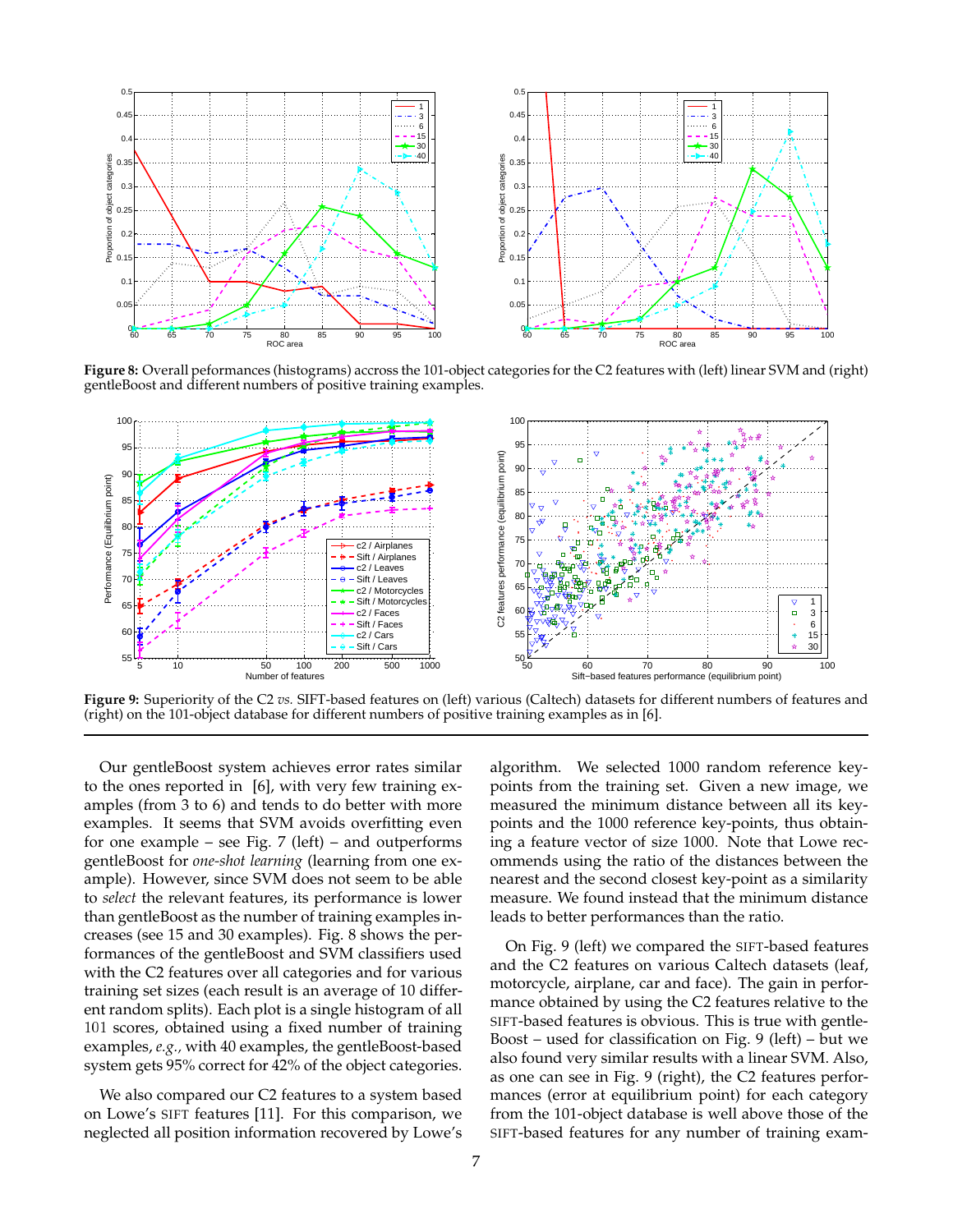

**Figure 8:** Overall peformances (histograms) accross the 101-object categories for the C2 features with (left) linear SVM and (right) gentleBoost and different numbers of positive training examples.



**Figure 9:** Superiority of the C2 *vs.* SIFT-based features on (left) various (Caltech) datasets for different numbers of features and (right) on the 101-object database for different numbers of positive training examples as in [6].

Our gentleBoost system achieves error rates similar to the ones reported in [6], with very few training examples (from 3 to 6) and tends to do better with more examples. It seems that SVM avoids overfitting even for one example – see Fig.  $7$  (left) – and outperforms gentleBoost for *one-shot learning* (learning from one example). However, since SVM does not seem to be able to *select* the relevant features, its performance is lower than gentleBoost as the number of training examples increases (see 15 and 30 examples). Fig. 8 shows the performances of the gentleBoost and SVM classifiers used with the C2 features over all categories and for various training set sizes (each result is an average of 10 different random splits). Each plot is a single histogram of all <sup>101</sup> scores, obtained using a fixed number of training examples, *e.g.,* with 40 examples, the gentleBoost-based system gets 95% correct for 42% of the object categories.

We also compared our C2 features to a system based on Lowe's SIFT features [11]. For this comparison, we neglected all position information recovered by Lowe's algorithm. We selected 1000 random reference keypoints from the training set. Given a new image, we measured the minimum distance between all its keypoints and the 1000 reference key-points, thus obtaining a feature vector of size 1000. Note that Lowe recommends using the ratio of the distances between the nearest and the second closest key-point as a similarity measure. We found instead that the minimum distance leads to better performances than the ratio.

On Fig. 9 (left) we compared the SIFT-based features and the C2 features on various Caltech datasets (leaf, motorcycle, airplane, car and face). The gain in performance obtained by using the C2 features relative to the SIFT-based features is obvious. This is true with gentle-Boost – used for classification on Fig. 9 (left) – but we also found very similar results with a linear SVM. Also, as one can see in Fig. 9 (right), the C2 features performances (error at equilibrium point) for each category from the 101-object database is well above those of the SIFT-based features for any number of training exam-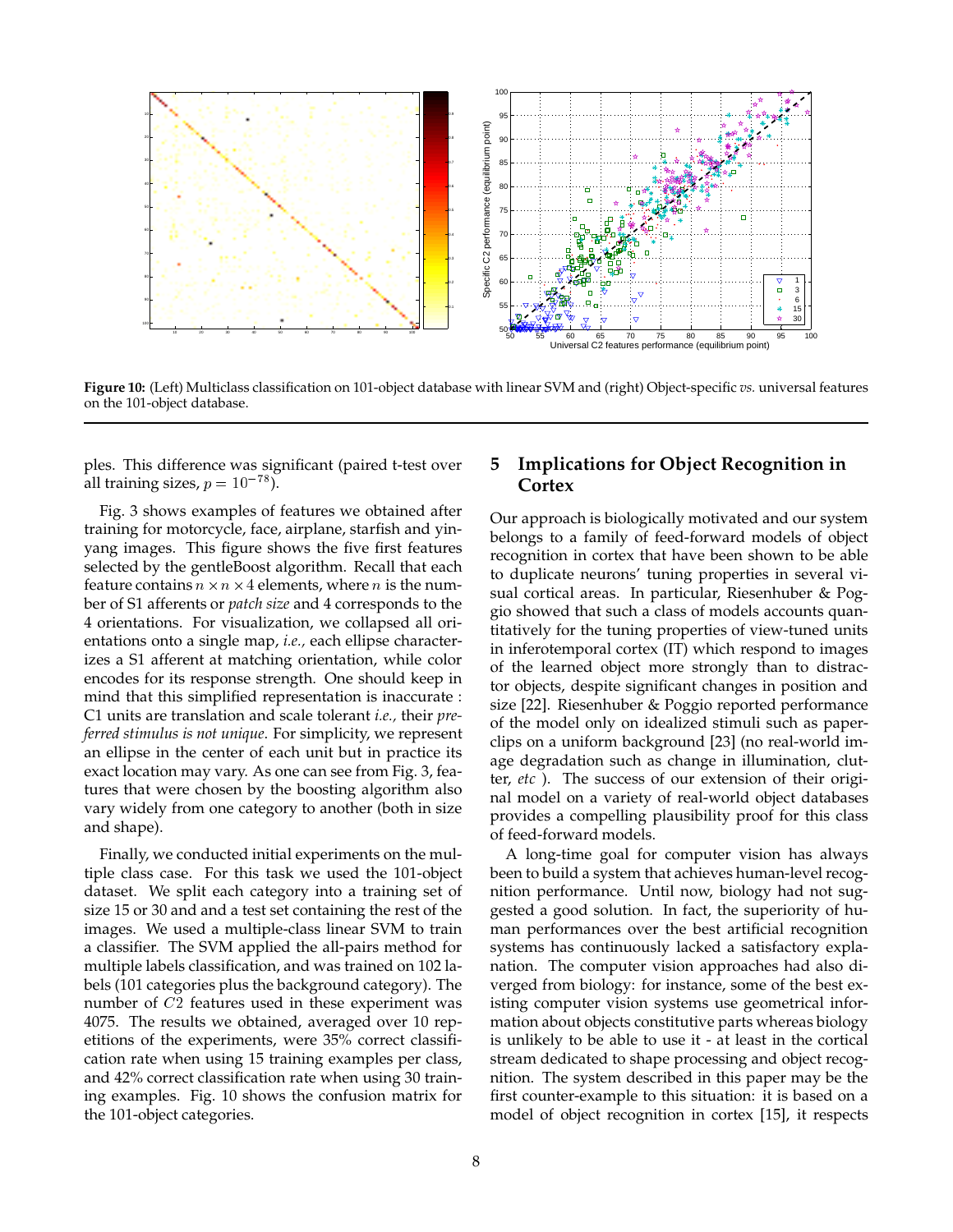![](_page_8_Figure_0.jpeg)

**Figure 10:** (Left) Multiclass classification on 101-object database with linear SVM and (right) Object-specific *vs.* universal features on the 101-object database.

ples. This difference was significant (paired t-test over all training sizes,  $p = 10^{-78}$ ).

Fig. 3 shows examples of features we obtained after training for motorcycle, face, airplane, starfish and yinyang images. This figure shows the five first features selected by the gentleBoost algorithm. Recall that each feature contains  $n \times n \times 4$  elements, where  $n$  is the number of S1 afferents or *patch size* and 4 corresponds to the 4 orientations. For visualization, we collapsed all orientations onto a single map, *i.e.,* each ellipse characterizes a S1 afferent at matching orientation, while color encodes for its response strength. One should keep in mind that this simplified representation is inaccurate : C1 units are translation and scale tolerant *i.e.,* their *preferred stimulus is not unique*. For simplicity, we represent an ellipse in the center of each unit but in practice its exact location may vary. As one can see from Fig. 3, features that were chosen by the boosting algorithm also vary widely from one category to another (both in size and shape).

Finally, we conducted initial experiments on the multiple class case. For this task we used the 101-object dataset. We split each category into a training set of size 15 or 30 and and a test set containing the rest of the images. We used a multiple-class linear SVM to train a classifier. The SVM applied the all-pairs method for multiple labels classification, and was trained on 102 labels (101 categories plus the background category). The number of C2 features used in these experiment was 4075. The results we obtained, averaged over 10 repetitions of the experiments, were 35% correct classification rate when using 15 training examples per class, and 42% correct classification rate when using 30 training examples. Fig. 10 shows the confusion matrix for the 101-object categories.

# **5 Implications for Object Recognition in Cortex**

Our approach is biologically motivated and our system belongs to a family of feed-forward models of object recognition in cortex that have been shown to be able to duplicate neurons' tuning properties in several visual cortical areas. In particular, Riesenhuber & Poggio showed that such a class of models accounts quantitatively for the tuning properties of view-tuned units in inferotemporal cortex (IT) which respond to images of the learned object more strongly than to distractor objects, despite significant changes in position and size [22]. Riesenhuber & Poggio reported performance of the model only on idealized stimuli such as paperclips on a uniform background [23] (no real-world image degradation such as change in illumination, clutter, *etc* ). The success of our extension of their original model on a variety of real-world object databases provides a compelling plausibility proof for this class of feed-forward models.

A long-time goal for computer vision has always been to build a system that achieves human-level recognition performance. Until now, biology had not suggested a good solution. In fact, the superiority of human performances over the best artificial recognition systems has continuously lacked a satisfactory explanation. The computer vision approaches had also diverged from biology: for instance, some of the best existing computer vision systems use geometrical information about objects constitutive parts whereas biology is unlikely to be able to use it - at least in the cortical stream dedicated to shape processing and object recognition. The system described in this paper may be the first counter-example to this situation: it is based on a model of object recognition in cortex [15], it respects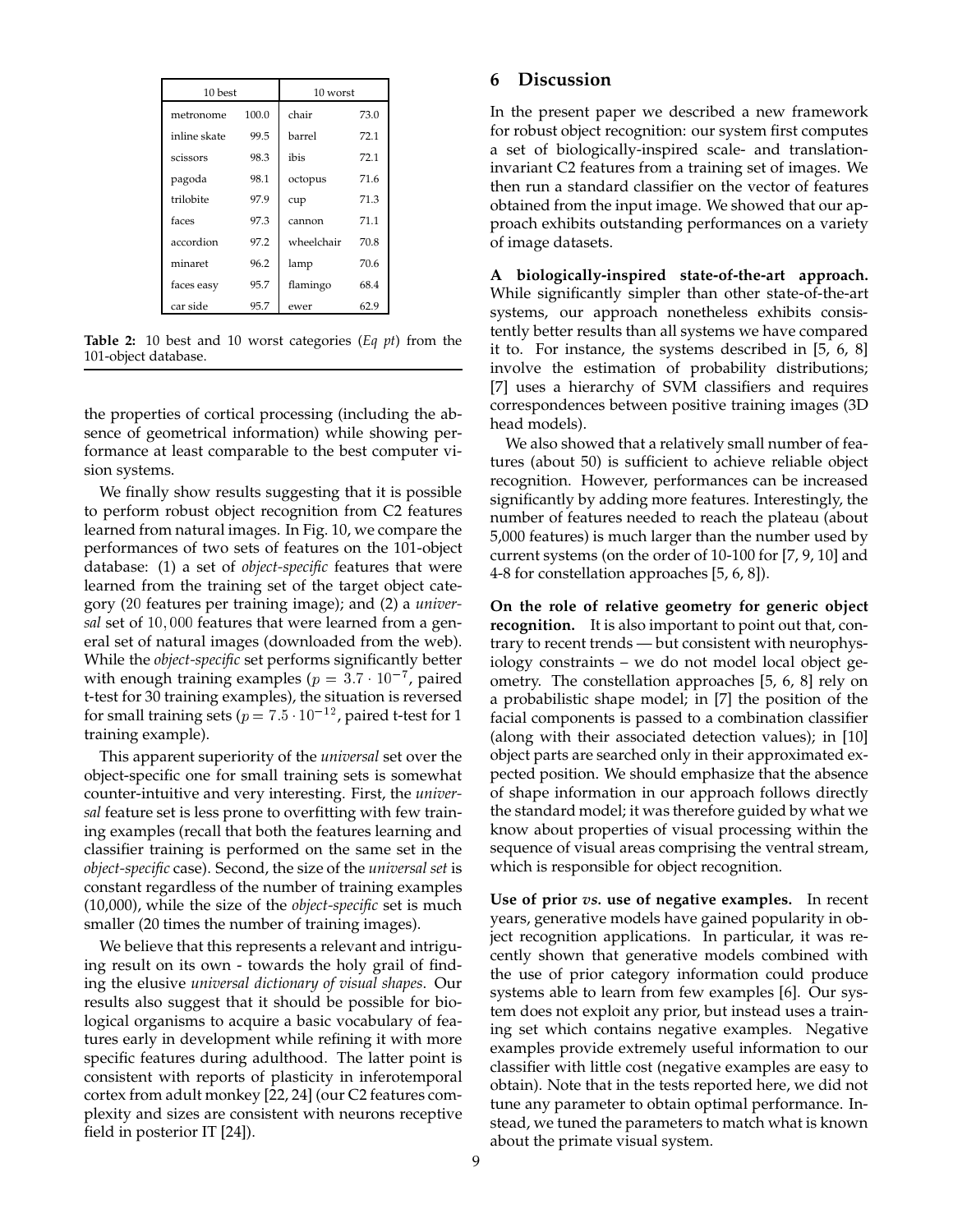| 10 best      |       | 10 worst   |      |  |
|--------------|-------|------------|------|--|
| metronome    | 100.0 | chair      | 73.0 |  |
| inline skate | 99.5  | barrel     | 72.1 |  |
| scissors     | 98.3  | ibis       | 72.1 |  |
| pagoda       | 98.1  | octopus    | 71.6 |  |
| trilobite    | 97.9  | cup        | 71.3 |  |
| faces        | 97.3  | cannon     | 71.1 |  |
| accordion    | 97.2  | wheelchair | 70.8 |  |
| minaret      | 96.2  | lamp       | 70.6 |  |
| faces easy   | 95.7  | flamingo   | 68.4 |  |
| car side     | 95.7  | ewer       | 62.9 |  |

**Table 2:** 10 best and 10 worst categories (*Eq pt*) from the 101-object database.

the properties of cortical processing (including the absence of geometrical information) while showing performance at least comparable to the best computer vision systems.

We finally show results suggesting that it is possible to perform robust object recognition from C2 features learned from natural images. In Fig. 10, we compare the performances of two sets of features on the 101-object database: (1) a set of *object-specific* features that were learned from the training set of the target object category (<sup>20</sup> features per training image); and (2) a *universal* set of 10; <sup>000</sup> features that were learned from a general set of natural images (downloaded from the web). While the *object-specific* set performs significantly better with enough training examples ( $p = 3.7 \cdot 10^{-7}$ , paired t-test for 30 training examples), the situation is reversed for small training sets ( $p = 7.5 \cdot 10^{-12}$ , paired t-test for 1 training example).

This apparent superiority of the *universal* set over the object-specific one for small training sets is somewhat counter-intuitive and very interesting. First, the *universal* feature set is less prone to overfitting with few training examples (recall that both the features learning and classifier training is performed on the same set in the *object-specific* case). Second, the size of the *universal set* is constant regardless of the number of training examples (10,000), while the size of the *object-specific* set is much smaller (20 times the number of training images).

We believe that this represents a relevant and intriguing result on its own - towards the holy grail of finding the elusive *universal dictionary of visual shapes*. Our results also suggest that it should be possible for biological organisms to acquire a basic vocabulary of features early in development while refining it with more specific features during adulthood. The latter point is consistent with reports of plasticity in inferotemporal cortex from adult monkey [22, 24] (our C2 features complexity and sizes are consistent with neurons receptive field in posterior IT [24]).

#### **6 Discussion**

In the present paper we described a new framework for robust object recognition: our system first computes a set of biologically-inspired scale- and translationinvariant C2 features from a training set of images. We then run a standard classifier on the vector of features obtained from the input image. We showed that our approach exhibits outstanding performances on a variety of image datasets.

**A biologically-inspired state-of-the-art approach.** While significantly simpler than other state-of-the-art systems, our approach nonetheless exhibits consistently better results than all systems we have compared it to. For instance, the systems described in [5, 6, 8] involve the estimation of probability distributions; [7] uses a hierarchy of SVM classifiers and requires correspondences between positive training images (3D head models).

We also showed that a relatively small number of features (about 50) is sufficient to achieve reliable object recognition. However, performances can be increased significantly by adding more features. Interestingly, the number of features needed to reach the plateau (about 5,000 features) is much larger than the number used by current systems (on the order of 10-100 for [7, 9, 10] and 4-8 for constellation approaches [5, 6, 8]).

**On the role of relative geometry for generic object recognition.** It is also important to point out that, contrary to recent trends — but consistent with neurophysiology constraints – we do not model local object geometry. The constellation approaches [5, 6, 8] rely on a probabilistic shape model; in [7] the position of the facial components is passed to a combination classifier (along with their associated detection values); in [10] object parts are searched only in their approximated expected position. We should emphasize that the absence of shape information in our approach follows directly the standard model; it was therefore guided by what we know about properties of visual processing within the sequence of visual areas comprising the ventral stream, which is responsible for object recognition.

**Use of prior** *vs.* **use of negative examples.** In recent years, generative models have gained popularity in object recognition applications. In particular, it was recently shown that generative models combined with the use of prior category information could produce systems able to learn from few examples [6]. Our system does not exploit any prior, but instead uses a training set which contains negative examples. Negative examples provide extremely useful information to our classifier with little cost (negative examples are easy to obtain). Note that in the tests reported here, we did not tune any parameter to obtain optimal performance. Instead, we tuned the parameters to match what is known about the primate visual system.